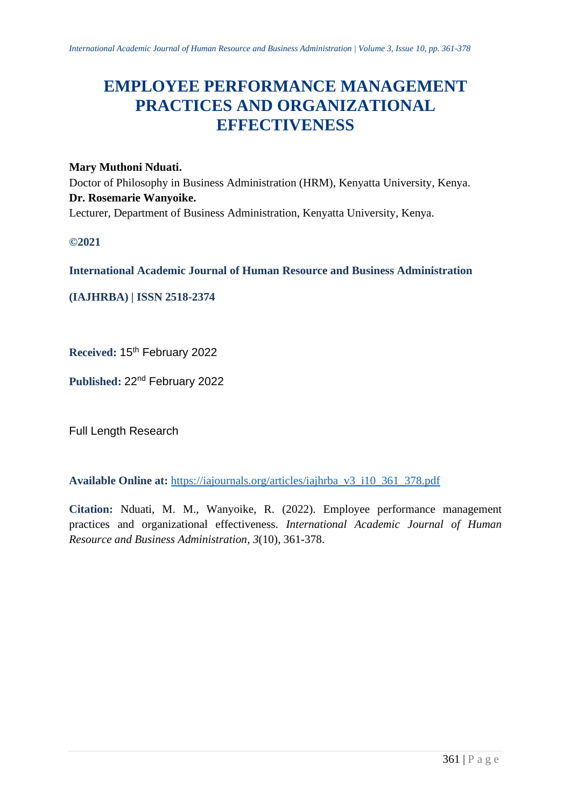# **EMPLOYEE PERFORMANCE MANAGEMENT PRACTICES AND ORGANIZATIONAL EFFECTIVENESS**

# **Mary Muthoni Nduati.**

Doctor of Philosophy in Business Administration (HRM), Kenyatta University, Kenya. **Dr. Rosemarie Wanyoike.** Lecturer, Department of Business Administration, Kenyatta University, Kenya.

**©2021**

**International Academic Journal of Human Resource and Business Administration**

**(IAJHRBA) | ISSN 2518-2374**

**Received:** 15th February 2022

**Published:** 22nd February 2022

Full Length Research

**Available Online at:** [https://iajournals.org/articles/iajhrba\\_v3\\_i10\\_361\\_378.pdf](https://iajournals.org/articles/iajhrba_v3_i10_361_378.pdf)

**Citation:** Nduati, M. M., Wanyoike, R. (2022). Employee performance management practices and organizational effectiveness. *International Academic Journal of Human Resource and Business Administration, 3*(10), 361-378.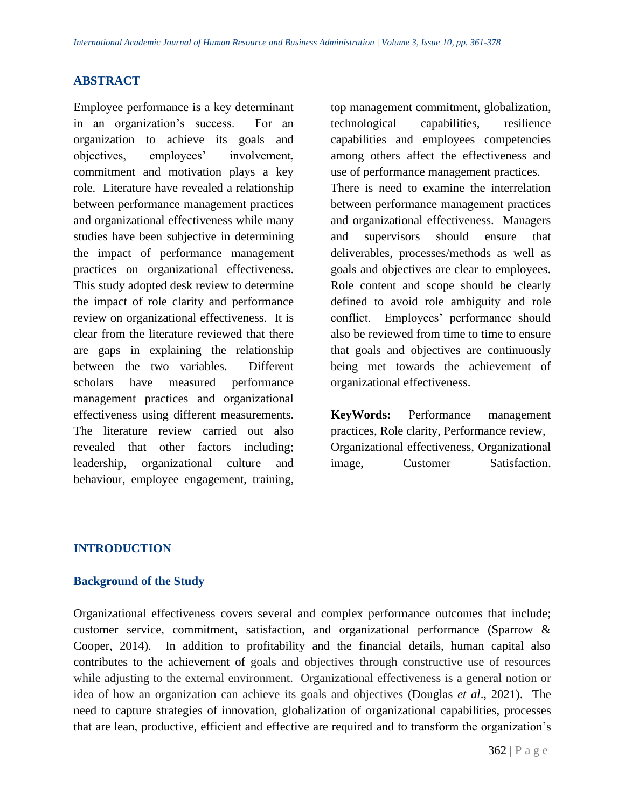### **ABSTRACT**

Employee performance is a key determinant in an organization's success. For an organization to achieve its goals and objectives, employees' involvement, commitment and motivation plays a key role. Literature have revealed a relationship between performance management practices and organizational effectiveness while many studies have been subjective in determining the impact of performance management practices on organizational effectiveness. This study adopted desk review to determine the impact of role clarity and performance review on organizational effectiveness. It is clear from the literature reviewed that there are gaps in explaining the relationship between the two variables. Different scholars have measured performance management practices and organizational effectiveness using different measurements. The literature review carried out also revealed that other factors including; leadership, organizational culture and behaviour, employee engagement, training,

top management commitment, globalization, technological capabilities, resilience capabilities and employees competencies among others affect the effectiveness and use of performance management practices. There is need to examine the interrelation between performance management practices and organizational effectiveness. Managers and supervisors should ensure that deliverables, processes/methods as well as goals and objectives are clear to employees. Role content and scope should be clearly defined to avoid role ambiguity and role conflict. Employees' performance should also be reviewed from time to time to ensure that goals and objectives are continuously being met towards the achievement of organizational effectiveness.

**KeyWords:** Performance management practices, Role clarity, Performance review, Organizational effectiveness, Organizational image, Customer Satisfaction.

#### **INTRODUCTION**

#### **Background of the Study**

Organizational effectiveness covers several and complex performance outcomes that include; customer service, commitment, satisfaction, and organizational performance (Sparrow & Cooper, 2014). In addition to profitability and the financial details, human capital also contributes to the achievement of goals and objectives through constructive use of resources while adjusting to the external environment. Organizational effectiveness is a general notion or idea of how an organization can achieve its goals and objectives (Douglas *et al*., 2021). The need to capture strategies of innovation, globalization of organizational capabilities, processes that are lean, productive, efficient and effective are required and to transform the organization's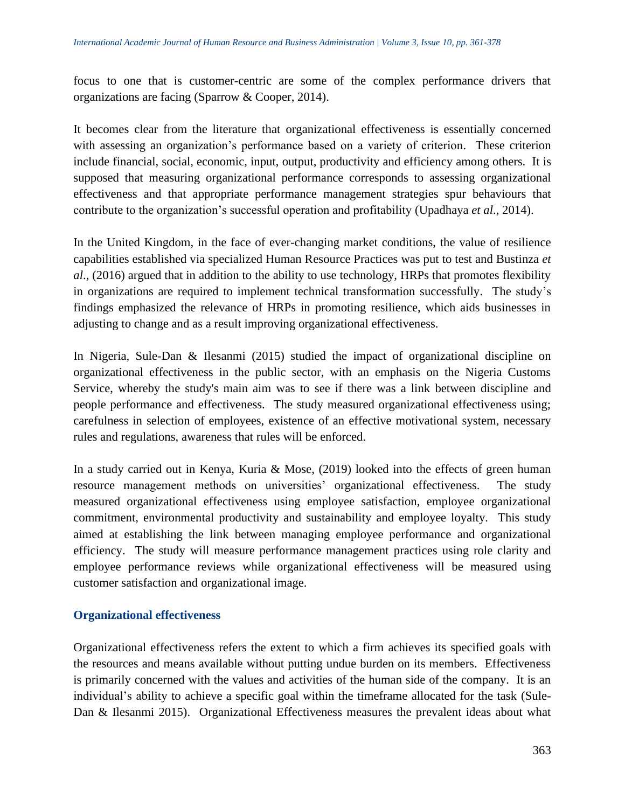focus to one that is customer-centric are some of the complex performance drivers that organizations are facing (Sparrow & Cooper, 2014).

It becomes clear from the literature that organizational effectiveness is essentially concerned with assessing an organization's performance based on a variety of criterion. These criterion include financial, social, economic, input, output, productivity and efficiency among others. It is supposed that measuring organizational performance corresponds to assessing organizational effectiveness and that appropriate performance management strategies spur behaviours that contribute to the organization's successful operation and profitability (Upadhaya *et al*., 2014).

In the United Kingdom, in the face of ever-changing market conditions, the value of resilience capabilities established via specialized Human Resource Practices was put to test and Bustinza *et al*., (2016) argued that in addition to the ability to use technology, HRPs that promotes flexibility in organizations are required to implement technical transformation successfully. The study's findings emphasized the relevance of HRPs in promoting resilience, which aids businesses in adjusting to change and as a result improving organizational effectiveness.

In Nigeria, Sule-Dan & Ilesanmi (2015) studied the impact of organizational discipline on organizational effectiveness in the public sector, with an emphasis on the Nigeria Customs Service, whereby the study's main aim was to see if there was a link between discipline and people performance and effectiveness. The study measured organizational effectiveness using; carefulness in selection of employees, existence of an effective motivational system, necessary rules and regulations, awareness that rules will be enforced.

In a study carried out in Kenya, Kuria & Mose, (2019) looked into the effects of green human resource management methods on universities' organizational effectiveness. The study measured organizational effectiveness using employee satisfaction, employee organizational commitment, environmental productivity and sustainability and employee loyalty. This study aimed at establishing the link between managing employee performance and organizational efficiency. The study will measure performance management practices using role clarity and employee performance reviews while organizational effectiveness will be measured using customer satisfaction and organizational image.

### **Organizational effectiveness**

Organizational effectiveness refers the extent to which a firm achieves its specified goals with the resources and means available without putting undue burden on its members. Effectiveness is primarily concerned with the values and activities of the human side of the company. It is an individual's ability to achieve a specific goal within the timeframe allocated for the task (Sule-Dan & Ilesanmi 2015). Organizational Effectiveness measures the prevalent ideas about what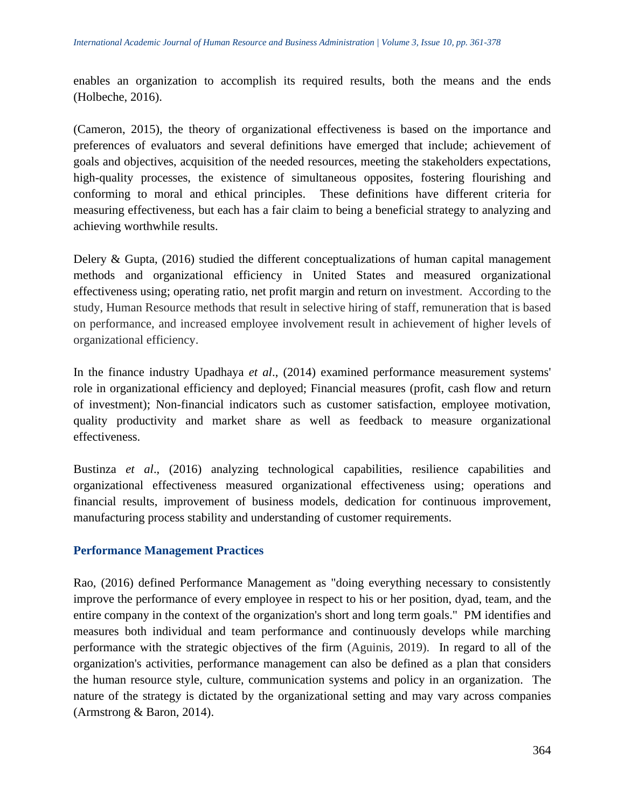enables an organization to accomplish its required results, both the means and the ends (Holbeche, 2016).

(Cameron, 2015), the theory of organizational effectiveness is based on the importance and preferences of evaluators and several definitions have emerged that include; achievement of goals and objectives, acquisition of the needed resources, meeting the stakeholders expectations, high-quality processes, the existence of simultaneous opposites, fostering flourishing and conforming to moral and ethical principles. These definitions have different criteria for measuring effectiveness, but each has a fair claim to being a beneficial strategy to analyzing and achieving worthwhile results.

Delery & Gupta, (2016) studied the different conceptualizations of human capital management methods and organizational efficiency in United States and measured organizational effectiveness using; operating ratio, net profit margin and return on investment. According to the study, Human Resource methods that result in selective hiring of staff, remuneration that is based on performance, and increased employee involvement result in achievement of higher levels of organizational efficiency.

In the finance industry Upadhaya *et al*., (2014) examined performance measurement systems' role in organizational efficiency and deployed; Financial measures (profit, cash flow and return of investment); Non-financial indicators such as customer satisfaction, employee motivation, quality productivity and market share as well as feedback to measure organizational effectiveness.

Bustinza *et al*., (2016) analyzing technological capabilities, resilience capabilities and organizational effectiveness measured organizational effectiveness using; operations and financial results, improvement of business models, dedication for continuous improvement, manufacturing process stability and understanding of customer requirements.

### **Performance Management Practices**

Rao, (2016) defined Performance Management as "doing everything necessary to consistently improve the performance of every employee in respect to his or her position, dyad, team, and the entire company in the context of the organization's short and long term goals." PM identifies and measures both individual and team performance and continuously develops while marching performance with the strategic objectives of the firm (Aguinis, 2019). In regard to all of the organization's activities, performance management can also be defined as a plan that considers the human resource style, culture, communication systems and policy in an organization. The nature of the strategy is dictated by the organizational setting and may vary across companies (Armstrong & Baron, 2014).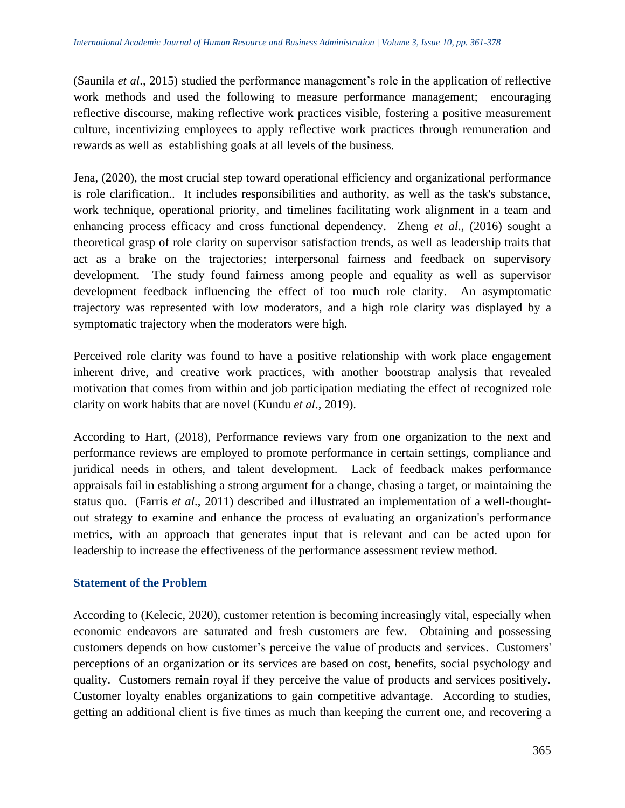(Saunila *et al*., 2015) studied the performance management's role in the application of reflective work methods and used the following to measure performance management; encouraging reflective discourse, making reflective work practices visible, fostering a positive measurement culture, incentivizing employees to apply reflective work practices through remuneration and rewards as well as establishing goals at all levels of the business.

Jena, (2020), the most crucial step toward operational efficiency and organizational performance is role clarification.. It includes responsibilities and authority, as well as the task's substance, work technique, operational priority, and timelines facilitating work alignment in a team and enhancing process efficacy and cross functional dependency. Zheng *et al*., (2016) sought a theoretical grasp of role clarity on supervisor satisfaction trends, as well as leadership traits that act as a brake on the trajectories; interpersonal fairness and feedback on supervisory development. The study found fairness among people and equality as well as supervisor development feedback influencing the effect of too much role clarity. An asymptomatic trajectory was represented with low moderators, and a high role clarity was displayed by a symptomatic trajectory when the moderators were high.

Perceived role clarity was found to have a positive relationship with work place engagement inherent drive, and creative work practices, with another bootstrap analysis that revealed motivation that comes from within and job participation mediating the effect of recognized role clarity on work habits that are novel (Kundu *et al*., 2019).

According to Hart, (2018), Performance reviews vary from one organization to the next and performance reviews are employed to promote performance in certain settings, compliance and juridical needs in others, and talent development. Lack of feedback makes performance appraisals fail in establishing a strong argument for a change, chasing a target, or maintaining the status quo. (Farris *et al*., 2011) described and illustrated an implementation of a well-thoughtout strategy to examine and enhance the process of evaluating an organization's performance metrics, with an approach that generates input that is relevant and can be acted upon for leadership to increase the effectiveness of the performance assessment review method.

### **Statement of the Problem**

According to (Kelecic, 2020), customer retention is becoming increasingly vital, especially when economic endeavors are saturated and fresh customers are few. Obtaining and possessing customers depends on how customer's perceive the value of products and services. Customers' perceptions of an organization or its services are based on cost, benefits, social psychology and quality. Customers remain royal if they perceive the value of products and services positively. Customer loyalty enables organizations to gain competitive advantage. According to studies, getting an additional client is five times as much than keeping the current one, and recovering a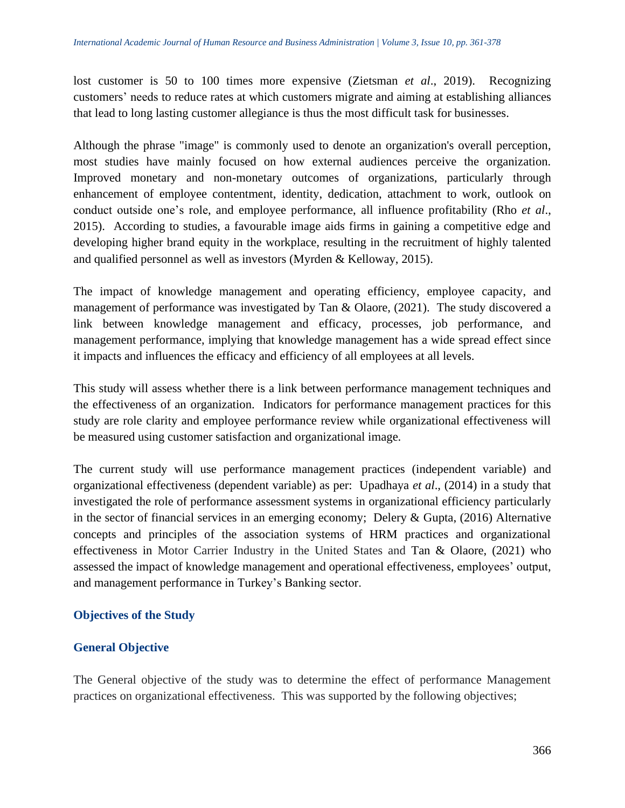lost customer is 50 to 100 times more expensive (Zietsman *et al*., 2019). Recognizing customers' needs to reduce rates at which customers migrate and aiming at establishing alliances that lead to long lasting customer allegiance is thus the most difficult task for businesses.

Although the phrase "image" is commonly used to denote an organization's overall perception, most studies have mainly focused on how external audiences perceive the organization. Improved monetary and non-monetary outcomes of organizations, particularly through enhancement of employee contentment, identity, dedication, attachment to work, outlook on conduct outside one's role, and employee performance, all influence profitability (Rho *et al*., 2015). According to studies, a favourable image aids firms in gaining a competitive edge and developing higher brand equity in the workplace, resulting in the recruitment of highly talented and qualified personnel as well as investors (Myrden & Kelloway, 2015).

The impact of knowledge management and operating efficiency, employee capacity, and management of performance was investigated by Tan & Olaore, (2021). The study discovered a link between knowledge management and efficacy, processes, job performance, and management performance, implying that knowledge management has a wide spread effect since it impacts and influences the efficacy and efficiency of all employees at all levels.

This study will assess whether there is a link between performance management techniques and the effectiveness of an organization. Indicators for performance management practices for this study are role clarity and employee performance review while organizational effectiveness will be measured using customer satisfaction and organizational image.

The current study will use performance management practices (independent variable) and organizational effectiveness (dependent variable) as per: Upadhaya *et al*., (2014) in a study that investigated the role of performance assessment systems in organizational efficiency particularly in the sector of financial services in an emerging economy; Delery & Gupta, (2016) Alternative concepts and principles of the association systems of HRM practices and organizational effectiveness in Motor Carrier Industry in the United States and Tan & Olaore, (2021) who assessed the impact of knowledge management and operational effectiveness, employees' output, and management performance in Turkey's Banking sector.

# **Objectives of the Study**

# **General Objective**

The General objective of the study was to determine the effect of performance Management practices on organizational effectiveness. This was supported by the following objectives;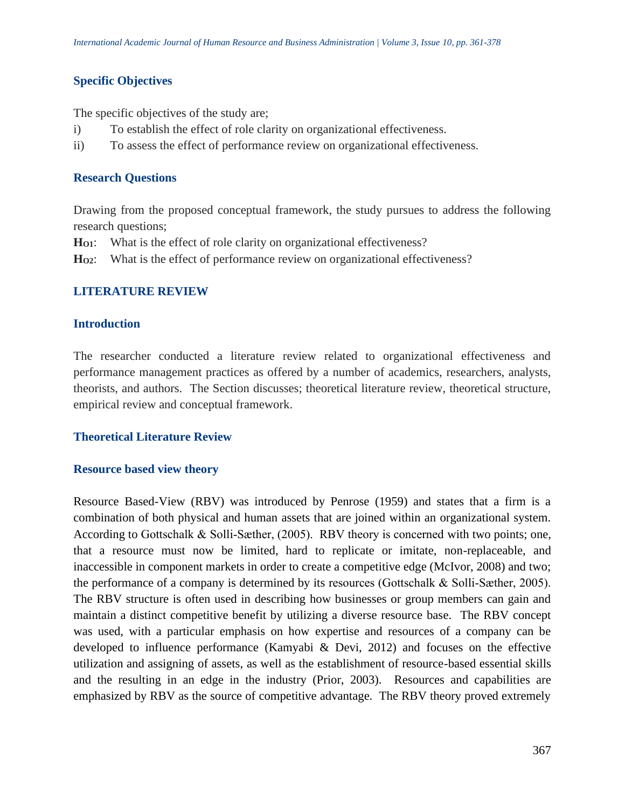# **Specific Objectives**

The specific objectives of the study are;

- i) To establish the effect of role clarity on organizational effectiveness.
- ii) To assess the effect of performance review on organizational effectiveness.

### **Research Questions**

Drawing from the proposed conceptual framework, the study pursues to address the following research questions;

- **HO1**: What is the effect of role clarity on organizational effectiveness?
- **HO2**: What is the effect of performance review on organizational effectiveness?

### **LITERATURE REVIEW**

### **Introduction**

The researcher conducted a literature review related to organizational effectiveness and performance management practices as offered by a number of academics, researchers, analysts, theorists, and authors. The Section discusses; theoretical literature review, theoretical structure, empirical review and conceptual framework.

### **Theoretical Literature Review**

### **Resource based view theory**

Resource Based-View (RBV) was introduced by Penrose (1959) and states that a firm is a combination of both physical and human assets that are joined within an organizational system. According to Gottschalk & Solli-Sæther, (2005). RBV theory is concerned with two points; one, that a resource must now be limited, hard to replicate or imitate, non-replaceable, and inaccessible in component markets in order to create a competitive edge (McIvor, 2008) and two; the performance of a company is determined by its resources (Gottschalk & Solli‐Sæther, 2005). The RBV structure is often used in describing how businesses or group members can gain and maintain a distinct competitive benefit by utilizing a diverse resource base. The RBV concept was used, with a particular emphasis on how expertise and resources of a company can be developed to influence performance (Kamyabi & Devi, 2012) and focuses on the effective utilization and assigning of assets, as well as the establishment of resource-based essential skills and the resulting in an edge in the industry (Prior, 2003). Resources and capabilities are emphasized by RBV as the source of competitive advantage. The RBV theory proved extremely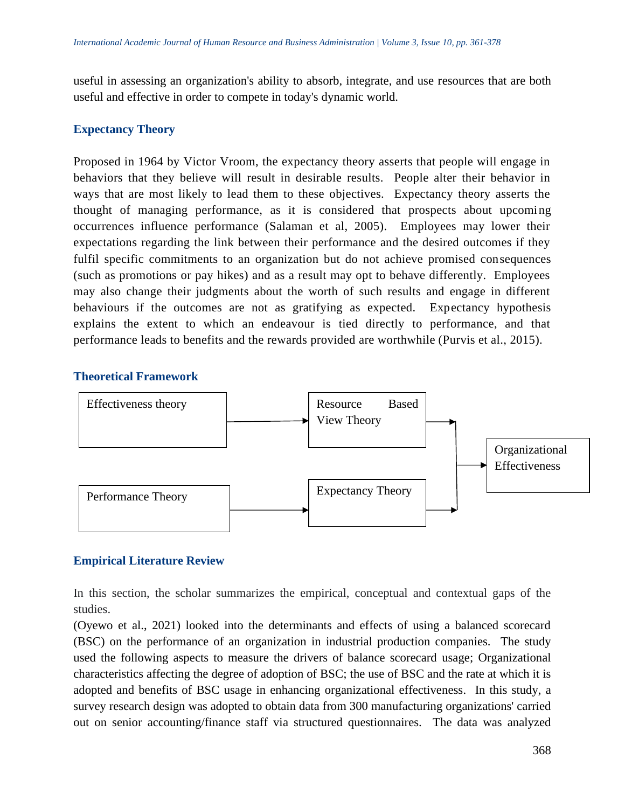useful in assessing an organization's ability to absorb, integrate, and use resources that are both useful and effective in order to compete in today's dynamic world.

## **Expectancy Theory**

Proposed in 1964 by Victor Vroom, the expectancy theory asserts that people will engage in behaviors that they believe will result in desirable results. People alter their behavior in ways that are most likely to lead them to these objectives. Expectancy theory asserts the thought of managing performance, as it is considered that prospects about upcoming occurrences influence performance (Salaman et al, 2005). Employees may lower their expectations regarding the link between their performance and the desired outcomes if they fulfil specific commitments to an organization but do not achieve promised consequences (such as promotions or pay hikes) and as a result may opt to behave differently. Employees may also change their judgments about the worth of such results and engage in different behaviours if the outcomes are not as gratifying as expected. Expectancy hypothesis explains the extent to which an endeavour is tied directly to performance, and that performance leads to benefits and the rewards provided are worthwhile (Purvis et al., 2015).

### **Theoretical Framework**



### **Empirical Literature Review**

In this section, the scholar summarizes the empirical, conceptual and contextual gaps of the studies.

(Oyewo et al., 2021) looked into the determinants and effects of using a balanced scorecard (BSC) on the performance of an organization in industrial production companies. The study used the following aspects to measure the drivers of balance scorecard usage; Organizational characteristics affecting the degree of adoption of BSC; the use of BSC and the rate at which it is adopted and benefits of BSC usage in enhancing organizational effectiveness. In this study, a survey research design was adopted to obtain data from 300 manufacturing organizations' carried out on senior accounting/finance staff via structured questionnaires. The data was analyzed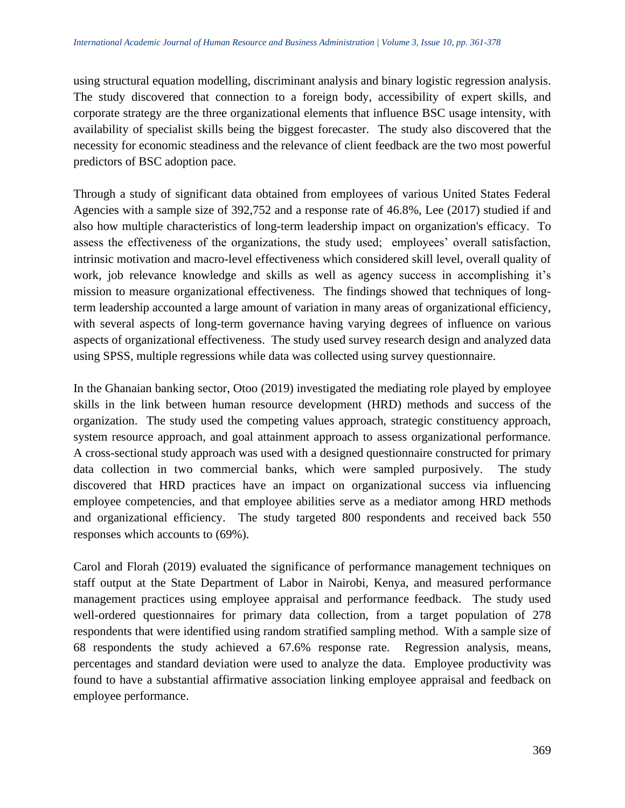using structural equation modelling, discriminant analysis and binary logistic regression analysis. The study discovered that connection to a foreign body, accessibility of expert skills, and corporate strategy are the three organizational elements that influence BSC usage intensity, with availability of specialist skills being the biggest forecaster. The study also discovered that the necessity for economic steadiness and the relevance of client feedback are the two most powerful predictors of BSC adoption pace.

Through a study of significant data obtained from employees of various United States Federal Agencies with a sample size of 392,752 and a response rate of 46.8%, Lee (2017) studied if and also how multiple characteristics of long-term leadership impact on organization's efficacy. To assess the effectiveness of the organizations, the study used; employees' overall satisfaction, intrinsic motivation and macro-level effectiveness which considered skill level, overall quality of work, job relevance knowledge and skills as well as agency success in accomplishing it's mission to measure organizational effectiveness. The findings showed that techniques of longterm leadership accounted a large amount of variation in many areas of organizational efficiency, with several aspects of long-term governance having varying degrees of influence on various aspects of organizational effectiveness. The study used survey research design and analyzed data using SPSS, multiple regressions while data was collected using survey questionnaire.

In the Ghanaian banking sector, Otoo (2019) investigated the mediating role played by employee skills in the link between human resource development (HRD) methods and success of the organization. The study used the competing values approach, strategic constituency approach, system resource approach, and goal attainment approach to assess organizational performance. A cross-sectional study approach was used with a designed questionnaire constructed for primary data collection in two commercial banks, which were sampled purposively. The study discovered that HRD practices have an impact on organizational success via influencing employee competencies, and that employee abilities serve as a mediator among HRD methods and organizational efficiency. The study targeted 800 respondents and received back 550 responses which accounts to (69%).

Carol and Florah (2019) evaluated the significance of performance management techniques on staff output at the State Department of Labor in Nairobi, Kenya, and measured performance management practices using employee appraisal and performance feedback. The study used well-ordered questionnaires for primary data collection, from a target population of 278 respondents that were identified using random stratified sampling method. With a sample size of 68 respondents the study achieved a 67.6% response rate. Regression analysis, means, percentages and standard deviation were used to analyze the data. Employee productivity was found to have a substantial affirmative association linking employee appraisal and feedback on employee performance.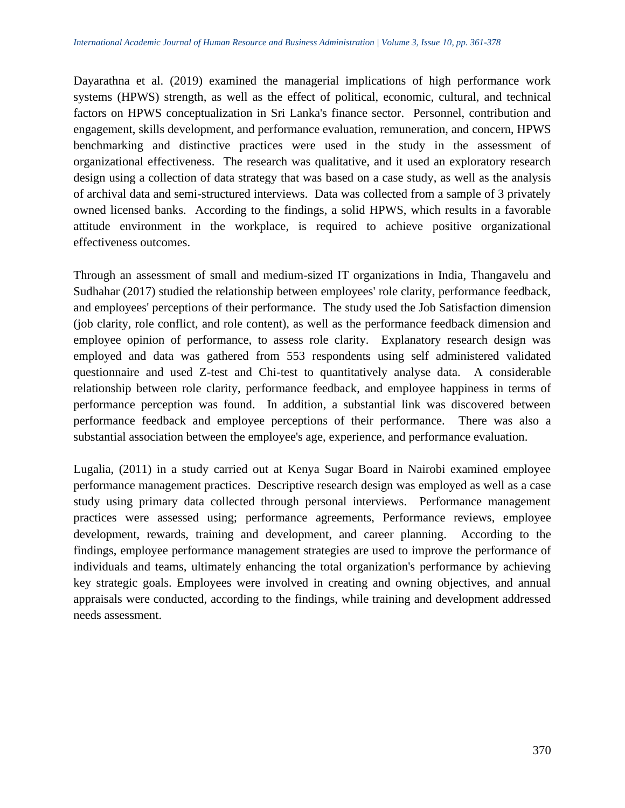Dayarathna et al. (2019) examined the managerial implications of high performance work systems (HPWS) strength, as well as the effect of political, economic, cultural, and technical factors on HPWS conceptualization in Sri Lanka's finance sector. Personnel, contribution and engagement, skills development, and performance evaluation, remuneration, and concern, HPWS benchmarking and distinctive practices were used in the study in the assessment of organizational effectiveness. The research was qualitative, and it used an exploratory research design using a collection of data strategy that was based on a case study, as well as the analysis of archival data and semi-structured interviews. Data was collected from a sample of 3 privately owned licensed banks. According to the findings, a solid HPWS, which results in a favorable attitude environment in the workplace, is required to achieve positive organizational effectiveness outcomes.

Through an assessment of small and medium-sized IT organizations in India, Thangavelu and Sudhahar (2017) studied the relationship between employees' role clarity, performance feedback, and employees' perceptions of their performance. The study used the Job Satisfaction dimension (job clarity, role conflict, and role content), as well as the performance feedback dimension and employee opinion of performance, to assess role clarity. Explanatory research design was employed and data was gathered from 553 respondents using self administered validated questionnaire and used Z-test and Chi-test to quantitatively analyse data. A considerable relationship between role clarity, performance feedback, and employee happiness in terms of performance perception was found. In addition, a substantial link was discovered between performance feedback and employee perceptions of their performance. There was also a substantial association between the employee's age, experience, and performance evaluation.

Lugalia, (2011) in a study carried out at Kenya Sugar Board in Nairobi examined employee performance management practices. Descriptive research design was employed as well as a case study using primary data collected through personal interviews. Performance management practices were assessed using; performance agreements, Performance reviews, employee development, rewards, training and development, and career planning. According to the findings, employee performance management strategies are used to improve the performance of individuals and teams, ultimately enhancing the total organization's performance by achieving key strategic goals. Employees were involved in creating and owning objectives, and annual appraisals were conducted, according to the findings, while training and development addressed needs assessment.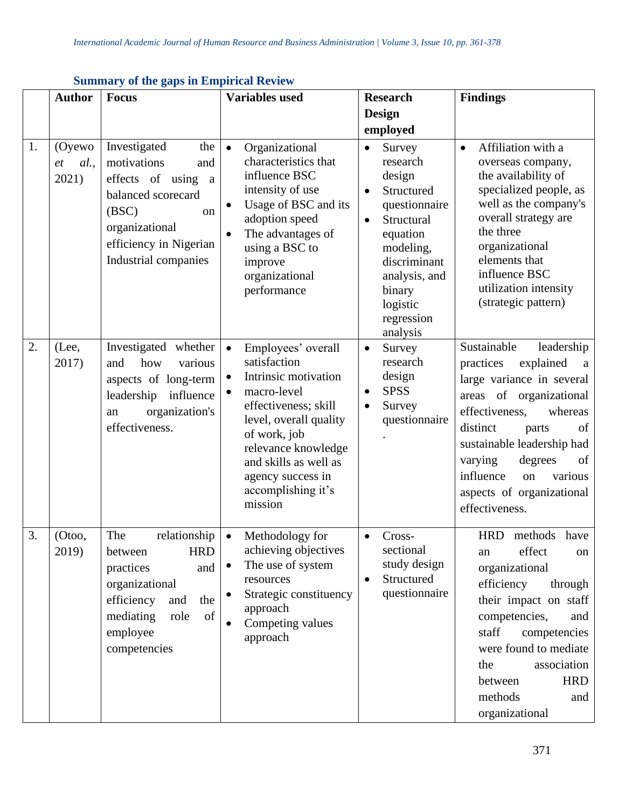|    | <b>Author</b>                        | <b>Focus</b>                                                                                                                                                             | <b>Variables</b> used                                                                                                                                                                                                                                               | <b>Research</b>                                                                                                                                                                                               | <b>Findings</b>                                                                                                                                                                                                                                                                                                            |
|----|--------------------------------------|--------------------------------------------------------------------------------------------------------------------------------------------------------------------------|---------------------------------------------------------------------------------------------------------------------------------------------------------------------------------------------------------------------------------------------------------------------|---------------------------------------------------------------------------------------------------------------------------------------------------------------------------------------------------------------|----------------------------------------------------------------------------------------------------------------------------------------------------------------------------------------------------------------------------------------------------------------------------------------------------------------------------|
|    |                                      |                                                                                                                                                                          |                                                                                                                                                                                                                                                                     | Design                                                                                                                                                                                                        |                                                                                                                                                                                                                                                                                                                            |
|    |                                      |                                                                                                                                                                          |                                                                                                                                                                                                                                                                     | employed                                                                                                                                                                                                      |                                                                                                                                                                                                                                                                                                                            |
| 1. | (Oyewo<br>al.,<br><i>et</i><br>2021) | Investigated<br>the<br>motivations<br>and<br>effects of using a<br>balanced scorecard<br>(BSC)<br>on<br>organizational<br>efficiency in Nigerian<br>Industrial companies | Organizational<br>$\bullet$<br>characteristics that<br>influence BSC<br>intensity of use<br>Usage of BSC and its<br>$\bullet$<br>adoption speed<br>The advantages of<br>using a BSC to<br>improve<br>organizational<br>performance                                  | Survey<br>$\bullet$<br>research<br>design<br>Structured<br>questionnaire<br>Structural<br>$\bullet$<br>equation<br>modeling,<br>discriminant<br>analysis, and<br>binary<br>logistic<br>regression<br>analysis | Affiliation with a<br>$\bullet$<br>overseas company,<br>the availability of<br>specialized people, as<br>well as the company's<br>overall strategy are<br>the three<br>organizational<br>elements that<br>influence BSC<br>utilization intensity<br>(strategic pattern)                                                    |
| 2. | (Lee,<br>2017)                       | Investigated whether<br>how<br>and<br>various<br>aspects of long-term<br>leadership influence<br>organization's<br>an<br>effectiveness.                                  | Employees' overall<br>$\bullet$<br>satisfaction<br>Intrinsic motivation<br>macro-level<br>٠<br>effectiveness; skill<br>level, overall quality<br>of work, job<br>relevance knowledge<br>and skills as well as<br>agency success in<br>accomplishing it's<br>mission | Survey<br>$\bullet$<br>research<br>design<br><b>SPSS</b><br>Survey<br>$\bullet$<br>questionnaire                                                                                                              | Sustainable<br>leadership<br>explained<br>practices<br><sub>a</sub><br>large variance in several<br>areas of organizational<br>effectiveness,<br>whereas<br>distinct<br>of<br>parts<br>sustainable leadership had<br>degrees<br>varying<br>of<br>influence<br>various<br>on<br>aspects of organizational<br>effectiveness. |
| 3. | (Otoo,<br>2019)                      | relationship<br>The<br><b>HRD</b><br>between<br>practices<br>and<br>organizational<br>efficiency<br>the<br>and<br>mediating<br>of<br>role<br>employee<br>competencies    | Methodology for<br>$\bullet$<br>achieving objectives<br>The use of system<br>resources<br>Strategic constituency<br>approach<br>Competing values<br>$\bullet$<br>approach                                                                                           | Cross-<br>$\bullet$<br>sectional<br>study design<br>Structured<br>questionnaire                                                                                                                               | HRD methods have<br>effect<br>an<br>on<br>organizational<br>efficiency<br>through<br>their impact on staff<br>competencies,<br>and<br>staff<br>competencies<br>were found to mediate<br>association<br>the<br><b>HRD</b><br>between<br>methods<br>and<br>organizational                                                    |

# **Summary of the gaps in Empirical Review**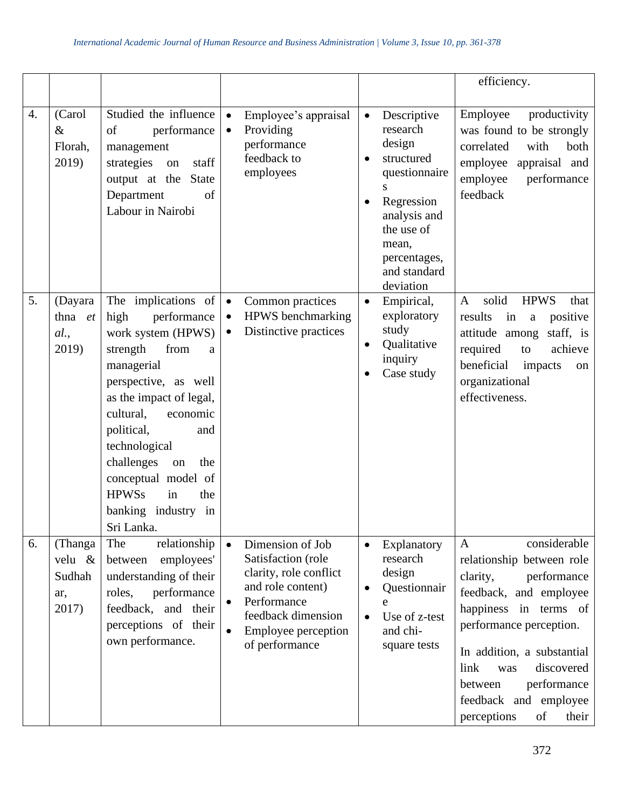|    |                                             |                                                                                                                                                                                                                                                                                                                                               |                                                                                                                                                                                  |                                                                                                                                                                                                                | efficiency.                                                                                                                                                                                                                                                                                                    |
|----|---------------------------------------------|-----------------------------------------------------------------------------------------------------------------------------------------------------------------------------------------------------------------------------------------------------------------------------------------------------------------------------------------------|----------------------------------------------------------------------------------------------------------------------------------------------------------------------------------|----------------------------------------------------------------------------------------------------------------------------------------------------------------------------------------------------------------|----------------------------------------------------------------------------------------------------------------------------------------------------------------------------------------------------------------------------------------------------------------------------------------------------------------|
| 4. | (Carol<br>$\&$<br>Florah,<br>2019)          | Studied the influence<br>of<br>performance<br>management<br>staff<br>strategies<br>on<br>output at the<br><b>State</b><br>Department<br>of<br>Labour in Nairobi                                                                                                                                                                               | Employee's appraisal<br>$\bullet$<br>Providing<br>$\bullet$<br>performance<br>feedback to<br>employees                                                                           | Descriptive<br>$\bullet$<br>research<br>design<br>structured<br>$\bullet$<br>questionnaire<br>S<br>Regression<br>$\bullet$<br>analysis and<br>the use of<br>mean,<br>percentages,<br>and standard<br>deviation | Employee<br>productivity<br>was found to be strongly<br>both<br>correlated<br>with<br>employee<br>appraisal and<br>employee<br>performance<br>feedback                                                                                                                                                         |
| 5. | (Dayara<br>thna et<br>al.,<br>2019)         | The implications of<br>performance<br>high<br>work system (HPWS)<br>strength<br>from<br>a<br>managerial<br>perspective, as well<br>as the impact of legal,<br>cultural,<br>economic<br>political,<br>and<br>technological<br>challenges<br>the<br>on<br>conceptual model of<br><b>HPWSs</b><br>in<br>the<br>banking industry in<br>Sri Lanka. | Common practices<br>$\bullet$<br><b>HPWS</b> benchmarking<br>$\bullet$<br>Distinctive practices<br>$\bullet$                                                                     | Empirical,<br>$\bullet$<br>exploratory<br>study<br>Qualitative<br>inquiry<br>Case study                                                                                                                        | solid<br><b>HPWS</b><br>$\mathbf{A}$<br>that<br>results<br>in<br>positive<br>$\mathbf{a}$<br>attitude among<br>staff, is<br>required<br>achieve<br>to<br>beneficial<br>impacts<br>on<br>organizational<br>effectiveness.                                                                                       |
| 6. | (Thanga<br>velu &<br>Sudhah<br>ar,<br>2017) | The<br>relationship<br>employees'<br>between<br>understanding of their<br>performance<br>roles,<br>feedback, and their<br>perceptions of their<br>own performance.                                                                                                                                                                            | Dimension of Job<br>$\bullet$<br>Satisfaction (role<br>clarity, role conflict<br>and role content)<br>Performance<br>feedback dimension<br>Employee perception<br>of performance | Explanatory<br>research<br>design<br>Questionnair<br>e<br>Use of z-test<br>and chi-<br>square tests                                                                                                            | considerable<br>$\mathbf{A}$<br>relationship between role<br>clarity,<br>performance<br>feedback, and employee<br>happiness in terms of<br>performance perception.<br>In addition, a substantial<br>link<br>discovered<br>was<br>performance<br>between<br>feedback and employee<br>perceptions<br>of<br>their |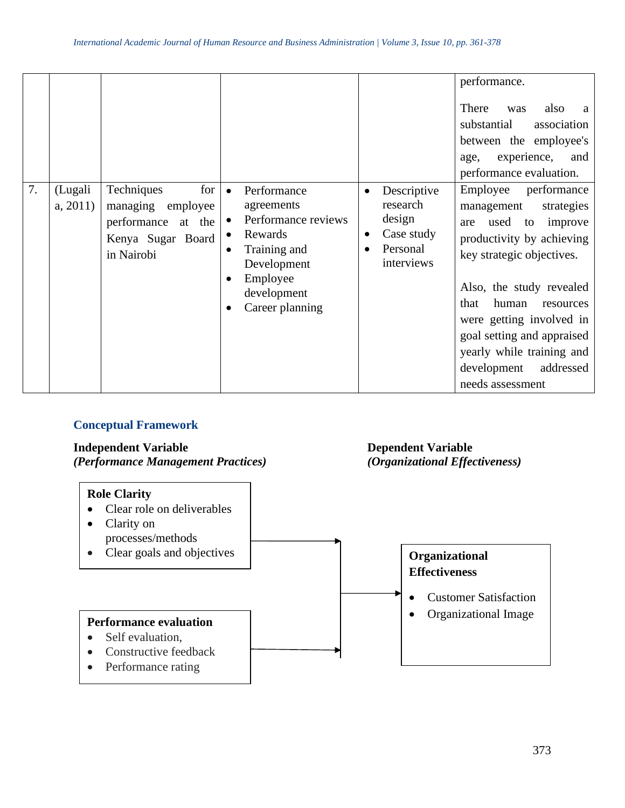|    |                    |                                                                                                              |                                                                                                                                                            |                                                                           | performance.<br>There<br>also<br>was<br>a<br>substantial<br>association<br>between the employee's<br>experience,<br>and<br>age,<br>performance evaluation.                                                                                                                                                                               |
|----|--------------------|--------------------------------------------------------------------------------------------------------------|------------------------------------------------------------------------------------------------------------------------------------------------------------|---------------------------------------------------------------------------|------------------------------------------------------------------------------------------------------------------------------------------------------------------------------------------------------------------------------------------------------------------------------------------------------------------------------------------|
| 7. | (Lugali<br>a, 2011 | Techniques<br>for <sub>l</sub><br>managing employee<br>performance at the<br>Kenya Sugar Board<br>in Nairobi | Performance<br>$\bullet$<br>agreements<br>Performance reviews<br>Rewards<br>٠<br>Training and<br>Development<br>Employee<br>development<br>Career planning | Descriptive<br>research<br>design<br>Case study<br>Personal<br>interviews | Employee<br>performance<br>strategies<br>management<br>used to improve<br>are<br>productivity by achieving<br>key strategic objectives.<br>Also, the study revealed<br>human<br>that<br>resources<br>were getting involved in<br>goal setting and appraised<br>yearly while training and<br>addressed<br>development<br>needs assessment |

# **Conceptual Framework**

**Independent Variable Dependent Variable September 1988**<br>
(*Performance Management Practices*) (*Organizational Effectiveness*) *(Performance Management Practices)* 

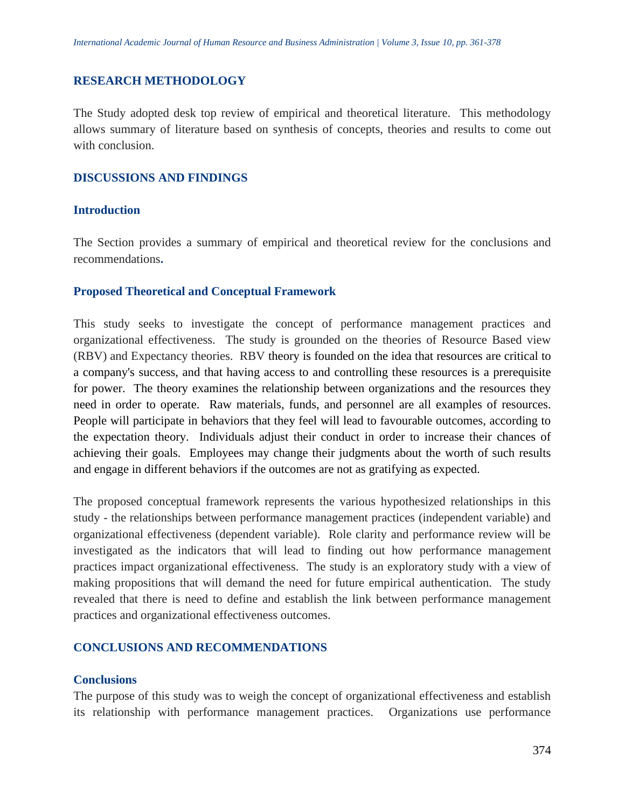#### **RESEARCH METHODOLOGY**

The Study adopted desk top review of empirical and theoretical literature. This methodology allows summary of literature based on synthesis of concepts, theories and results to come out with conclusion.

#### **DISCUSSIONS AND FINDINGS**

#### **Introduction**

The Section provides a summary of empirical and theoretical review for the conclusions and recommendations**.**

#### **Proposed Theoretical and Conceptual Framework**

This study seeks to investigate the concept of performance management practices and organizational effectiveness. The study is grounded on the theories of Resource Based view (RBV) and Expectancy theories. RBV theory is founded on the idea that resources are critical to a company's success, and that having access to and controlling these resources is a prerequisite for power. The theory examines the relationship between organizations and the resources they need in order to operate. Raw materials, funds, and personnel are all examples of resources. People will participate in behaviors that they feel will lead to favourable outcomes, according to the expectation theory. Individuals adjust their conduct in order to increase their chances of achieving their goals. Employees may change their judgments about the worth of such results and engage in different behaviors if the outcomes are not as gratifying as expected.

The proposed conceptual framework represents the various hypothesized relationships in this study - the relationships between performance management practices (independent variable) and organizational effectiveness (dependent variable). Role clarity and performance review will be investigated as the indicators that will lead to finding out how performance management practices impact organizational effectiveness. The study is an exploratory study with a view of making propositions that will demand the need for future empirical authentication. The study revealed that there is need to define and establish the link between performance management practices and organizational effectiveness outcomes.

#### **CONCLUSIONS AND RECOMMENDATIONS**

#### **Conclusions**

The purpose of this study was to weigh the concept of organizational effectiveness and establish its relationship with performance management practices. Organizations use performance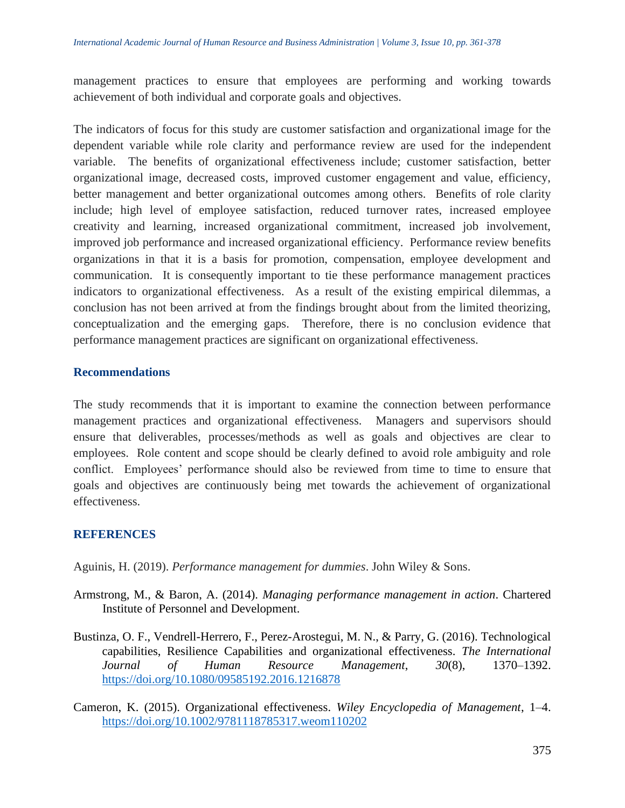management practices to ensure that employees are performing and working towards achievement of both individual and corporate goals and objectives.

The indicators of focus for this study are customer satisfaction and organizational image for the dependent variable while role clarity and performance review are used for the independent variable. The benefits of organizational effectiveness include; customer satisfaction, better organizational image, decreased costs, improved customer engagement and value, efficiency, better management and better organizational outcomes among others. Benefits of role clarity include; high level of employee satisfaction, reduced turnover rates, increased employee creativity and learning, increased organizational commitment, increased job involvement, improved job performance and increased organizational efficiency. Performance review benefits organizations in that it is a basis for promotion, compensation, employee development and communication. It is consequently important to tie these performance management practices indicators to organizational effectiveness. As a result of the existing empirical dilemmas, a conclusion has not been arrived at from the findings brought about from the limited theorizing, conceptualization and the emerging gaps. Therefore, there is no conclusion evidence that performance management practices are significant on organizational effectiveness.

### **Recommendations**

The study recommends that it is important to examine the connection between performance management practices and organizational effectiveness. Managers and supervisors should ensure that deliverables, processes/methods as well as goals and objectives are clear to employees. Role content and scope should be clearly defined to avoid role ambiguity and role conflict. Employees' performance should also be reviewed from time to time to ensure that goals and objectives are continuously being met towards the achievement of organizational effectiveness.

# **REFERENCES**

Aguinis, H. (2019). *Performance management for dummies*. John Wiley & Sons.

- Armstrong, M., & Baron, A. (2014). *Managing performance management in action*. Chartered Institute of Personnel and Development.
- Bustinza, O. F., Vendrell-Herrero, F., Perez-Arostegui, M. N., & Parry, G. (2016). Technological capabilities, Resilience Capabilities and organizational effectiveness. *The International Journal of Human Resource Management*, *30*(8), 1370–1392. <https://doi.org/10.1080/09585192.2016.1216878>
- Cameron, K. (2015). Organizational effectiveness. *Wiley Encyclopedia of Management*, 1–4. <https://doi.org/10.1002/9781118785317.weom110202>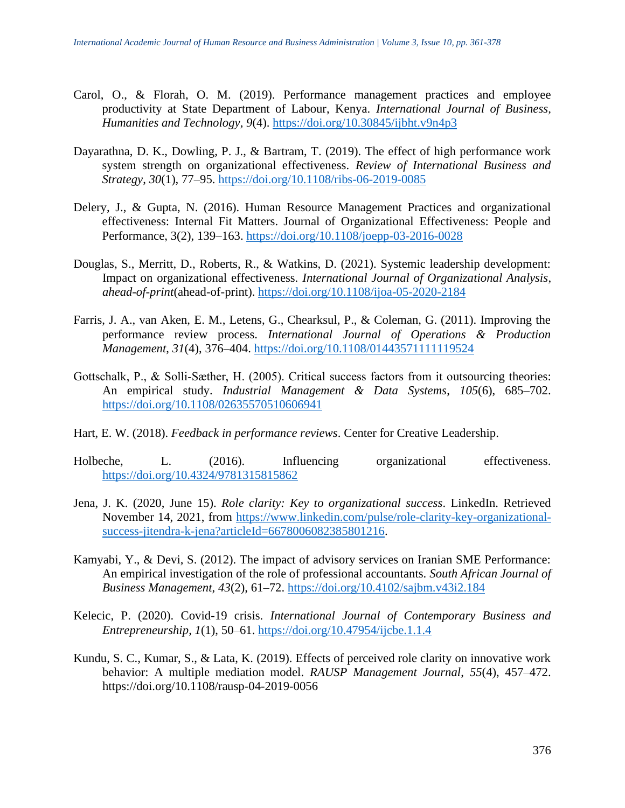- Carol, O., & Florah, O. M. (2019). Performance management practices and employee productivity at State Department of Labour, Kenya. *International Journal of Business, Humanities and Technology*, *9*(4).<https://doi.org/10.30845/ijbht.v9n4p3>
- Dayarathna, D. K., Dowling, P. J., & Bartram, T. (2019). The effect of high performance work system strength on organizational effectiveness. *Review of International Business and Strategy*, *30*(1), 77–95.<https://doi.org/10.1108/ribs-06-2019-0085>
- Delery, J., & Gupta, N. (2016). Human Resource Management Practices and organizational effectiveness: Internal Fit Matters. Journal of Organizational Effectiveness: People and Performance, 3(2), 139–163.<https://doi.org/10.1108/joepp-03-2016-0028>
- Douglas, S., Merritt, D., Roberts, R., & Watkins, D. (2021). Systemic leadership development: Impact on organizational effectiveness. *International Journal of Organizational Analysis*, *ahead-of-print*(ahead-of-print).<https://doi.org/10.1108/ijoa-05-2020-2184>
- Farris, J. A., van Aken, E. M., Letens, G., Chearksul, P., & Coleman, G. (2011). Improving the performance review process. *International Journal of Operations & Production Management*, *31*(4), 376–404.<https://doi.org/10.1108/01443571111119524>
- Gottschalk, P., & Solli-Sæther, H. (2005). Critical success factors from it outsourcing theories: An empirical study. *Industrial Management & Data Systems*, *105*(6), 685–702. <https://doi.org/10.1108/02635570510606941>
- Hart, E. W. (2018). *Feedback in performance reviews*. Center for Creative Leadership.
- Holbeche, L. (2016). Influencing organizational effectiveness. <https://doi.org/10.4324/9781315815862>
- Jena, J. K. (2020, June 15). *Role clarity: Key to organizational success*. LinkedIn. Retrieved November 14, 2021, from [https://www.linkedin.com/pulse/role-clarity-key-organizational](https://www.linkedin.com/pulse/role-clarity-key-organizational-success-jitendra-k-jena?articleId=6678006082385801216)[success-jitendra-k-jena?articleId=6678006082385801216.](https://www.linkedin.com/pulse/role-clarity-key-organizational-success-jitendra-k-jena?articleId=6678006082385801216)
- Kamyabi, Y., & Devi, S. (2012). The impact of advisory services on Iranian SME Performance: An empirical investigation of the role of professional accountants. *South African Journal of Business Management*, *43*(2), 61–72.<https://doi.org/10.4102/sajbm.v43i2.184>
- Kelecic, P. (2020). Covid-19 crisis. *International Journal of Contemporary Business and Entrepreneurship*, *1*(1), 50–61.<https://doi.org/10.47954/ijcbe.1.1.4>
- Kundu, S. C., Kumar, S., & Lata, K. (2019). Effects of perceived role clarity on innovative work behavior: A multiple mediation model. *RAUSP Management Journal*, *55*(4), 457–472. https://doi.org/10.1108/rausp-04-2019-0056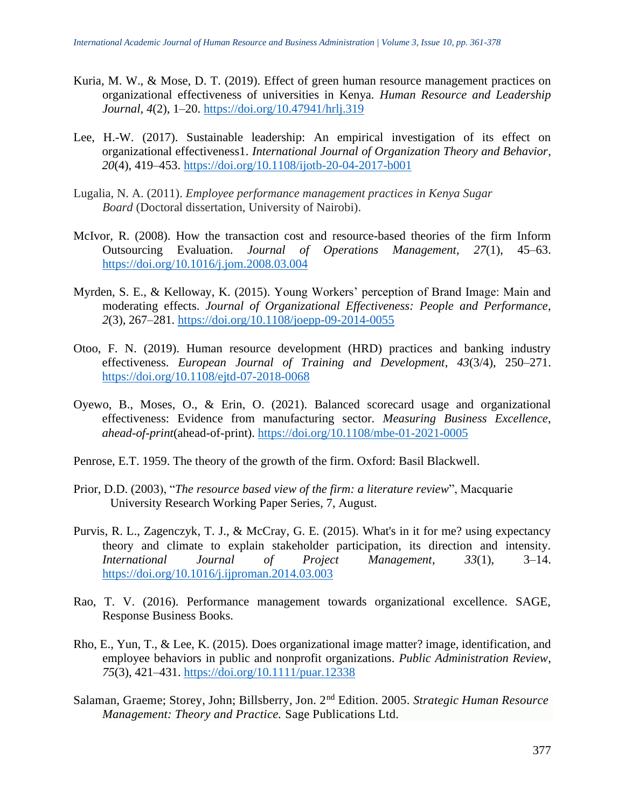- Kuria, M. W., & Mose, D. T. (2019). Effect of green human resource management practices on organizational effectiveness of universities in Kenya. *Human Resource and Leadership Journal*, *4*(2), 1–20.<https://doi.org/10.47941/hrlj.319>
- Lee, H.-W. (2017). Sustainable leadership: An empirical investigation of its effect on organizational effectiveness1. *International Journal of Organization Theory and Behavior*, *20*(4), 419–453.<https://doi.org/10.1108/ijotb-20-04-2017-b001>
- Lugalia, N. A. (2011). *Employee performance management practices in Kenya Sugar Board* (Doctoral dissertation, University of Nairobi).
- McIvor, R. (2008). How the transaction cost and resource-based theories of the firm Inform Outsourcing Evaluation. *Journal of Operations Management*, *27*(1), 45–63. <https://doi.org/10.1016/j.jom.2008.03.004>
- Myrden, S. E., & Kelloway, K. (2015). Young Workers' perception of Brand Image: Main and moderating effects. *Journal of Organizational Effectiveness: People and Performance*, *2*(3), 267–281.<https://doi.org/10.1108/joepp-09-2014-0055>
- Otoo, F. N. (2019). Human resource development (HRD) practices and banking industry effectiveness. *European Journal of Training and Development*, *43*(3/4), 250–271. <https://doi.org/10.1108/ejtd-07-2018-0068>
- Oyewo, B., Moses, O., & Erin, O. (2021). Balanced scorecard usage and organizational effectiveness: Evidence from manufacturing sector. *Measuring Business Excellence*, *ahead-of-print*(ahead-of-print).<https://doi.org/10.1108/mbe-01-2021-0005>
- Penrose, E.T. 1959. The theory of the growth of the firm. Oxford: Basil Blackwell.
- Prior, D.D. (2003), "*The resource based view of the firm: a literature review*", Macquarie University Research Working Paper Series, 7, August.
- Purvis, R. L., Zagenczyk, T. J., & McCray, G. E. (2015). What's in it for me? using expectancy theory and climate to explain stakeholder participation, its direction and intensity. *International Journal of Project Management*, *33*(1), 3–14. <https://doi.org/10.1016/j.ijproman.2014.03.003>
- Rao, T. V. (2016). Performance management towards organizational excellence. SAGE, Response Business Books.
- Rho, E., Yun, T., & Lee, K. (2015). Does organizational image matter? image, identification, and employee behaviors in public and nonprofit organizations. *Public Administration Review*, *75*(3), 421–431.<https://doi.org/10.1111/puar.12338>
- Salaman, Graeme; Storey, John; Billsberry, Jon. 2nd Edition. 2005. *Strategic Human Resource Management: Theory and Practice.* Sage Publications Ltd.